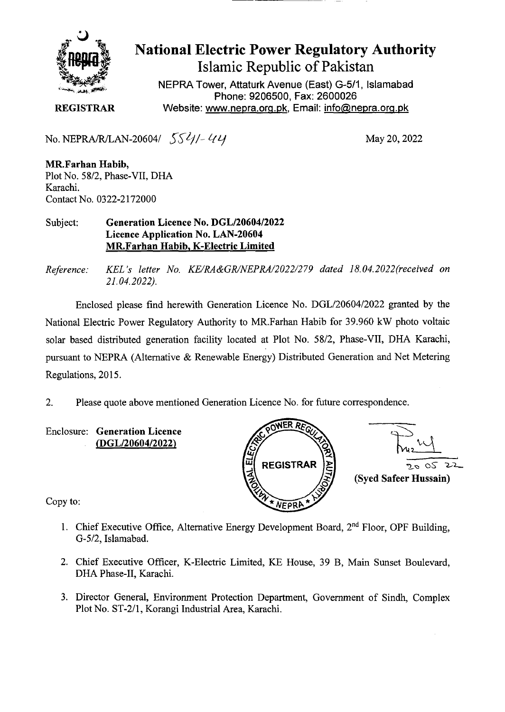

## **National Electric Power Regulatory Authority Islamic Republic of Pakistan**

**NEPRA Tower, Attaturk Avenue (East) G-511, Islamabad Phone: 9206500, Fax: 2600026 REGISTRAR** Website: www.nepra.org.pk, Email: info@nepra.org.pk

No. NEPRA/R/LAN-20604/ *55/4/- 44* 

**MR.Farhan Habib,**  Plot No. 58/2, Phase-VII, DHA Karachi. Contact No. 0322-2 172000

Subject: **Generation Licence No. DGL/20604/2022 Licence Application No. LAN-20604 MR.Farhan Habib, K-Electric Limited** 

*Reference: KEL 's letter No. KE/RA&GR/NEPRA/2022/279 dated 18. 04.2022(received on 21.04.2022).* 

Enclosed please find herewith Generation Licence No. DGL/20604/2022 granted by the National Electric Power Regulatory Authority to MR.Farhan Habib for 39.960 kW photo voltaic solar based distributed generation facility located at Plot No. 58/2, Phase-VII, DHA Karachi, pursuant to NEPRA (Alternative & Renewable Energy) Distributed Generation and Net Metering Regulations, 2015.

2. Please quote above mentioned Generation Licence No. for future correspondence.



Copy to:

- 1. Chief Executive Office, Alternative Energy Development Board,  $2<sup>nd</sup>$  Floor, OPF Building, *G-5/2,* Islamabad.
- 2. Chief Executive Officer, K-Electric Limited, KE House, 39 B, Main Sunset Boulevard, DHA Phase-IT, Karachi.
- 3. Director General, Environment Protection Department, Government of Sindh, Complex Plot No. ST-2/1, Korangi Industrial Area, Karachi.

Enclosure: **Generation Licence (DGL/20604/2022)**